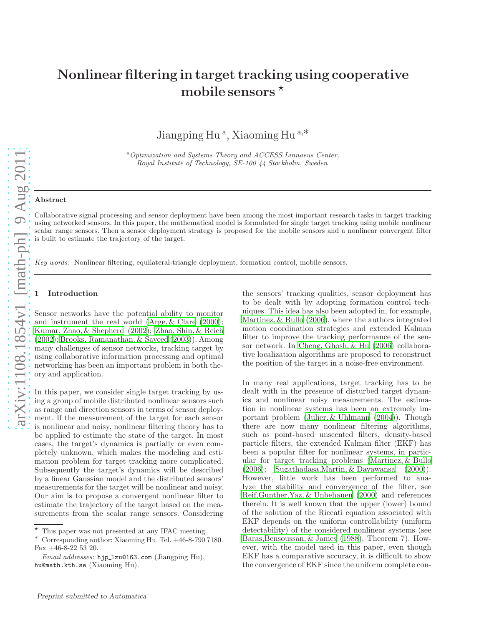# Nonlinear filtering in target tracking using cooperative mobile sensors  $*$

Jiangping Hu<sup>a</sup>, Xiaoming Hu<sup>a,\*</sup>

<sup>a</sup> Optimization and Systems Theory and ACCESS Linnaeus Center, Royal Institute of Technology, SE-100 44 Stockholm, Sweden

#### Abstract

Collaborative signal processing and sensor deployment have been among the most important research tasks in target tracking using networked sensors. In this paper, the mathematical model is formulated for single target tracking using mobile nonlinear scalar range sensors. Then a sensor deployment strategy is proposed for the mobile sensors and a nonlinear convergent filter is built to estimate the trajectory of the target.

Key words: Nonlinear filtering, equilateral-triangle deployment, formation control, mobile sensors.

#### **Introduction**

Sensor networks have the potential ability to monitor and instrument the real world (Arge, [& Clare \(2000](#page-6-0)); Kumar, Zhao, [& Shepherd \(2002\)](#page-6-1); Zhao, Shin, [& Reich](#page-6-2) [\(2002\)](#page-6-2); Brooks, [Ramanathan](#page-6-3), & Sayeed [\(2003\)](#page-6-3)). Among many challenges of sensor networks, tracking target by using collaborative information processing and optimal networking has been an important problem in both theory and application.

In this paper, we consider single target tracking by using a group of mobile distributed nonlinear sensors such as range and direction sensors in terms of sensor deployment. If the measurement of the target for each sensor is nonlinear and noisy, nonlinear filtering theory has to be applied to estimate the state of the target. In most cases, the target's dynamics is partially or even completely unknown, which makes the modeling and estimation problem for target tracking more complicated. Subsequently the target's dynamics will be described by a linear Gaussian model and the distributed sensors' measurements for the target will be nonlinear and noisy. Our aim is to propose a convergent nonlinear filter to estimate the trajectory of the target based on the measurements from the scalar range sensors. Considering the sensors' tracking qualities, sensor deployment has to be dealt with by adopting formation control techniques. This idea has also been adopted in, for example, [Martinez](#page-6-4), & Bullo [\(2006\)](#page-6-4), where the authors integrated motion coordination strategies and extended Kalman filter to improve the tracking performance of the sensor network. In [Cheng](#page-7-0), Ghosh, & Hu [\(2006\)](#page-7-0) collaborative localization algorithms are proposed to reconstruct the position of the target in a noise-free environment.

In many real applications, target tracking has to be dealt with in the presence of disturbed target dynamics and nonlinear noisy measurements. The estimation in nonlinear systems has been an extremely important problem (Julier, [& Uhlmann \(2004\)](#page-7-1)). Though there are now many nonlinear filtering algorithms, such as point-based unscented filters, density-based particle filters, the extended Kalman filter (EKF) has been a popular filter for nonlinear systems, in particular for target tracking problems [\(Martinez](#page-6-4), & Bullo [\(2006\)](#page-6-4); Sugathadasa,Martin, [& Dayawansa \(2000](#page-7-2))). However, little work has been performed to analyze the stability and convergence of the filter, see Reif,Gunther,Yaz, [& Unbehauen \(2000\)](#page-7-3) and references therein. It is well known that the upper (lower) bound of the solution of the Riccati equation associated with EKF depends on the uniform controllability (uniform detectability) of the considered nonlinear systems (see Baras,[Bensoussan](#page-7-4), & James [\(1988\)](#page-7-4), Theorem 7). However, with the model used in this paper, even though EKF has a comparative accuracy, it is difficult to show the convergence of EKF since the uniform complete con-

 $\star$  This paper was not presented at any IFAC meeting.

<sup>∗</sup> Corresponding author: Xiaoming Hu. Tel. +46-8-790 7180. Fax +46-8-22 53 20.

Email addresses: hjp\_lzu@163.com (Jiangping Hu), hu@math.kth.se (Xiaoming Hu).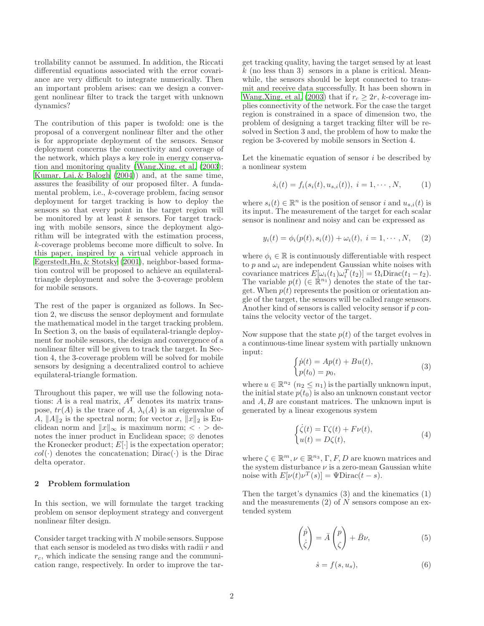trollability cannot be assumed. In addition, the Riccati differential equations associated with the error covariance are very difficult to integrate numerically. Then an important problem arises: can we design a convergent nonlinear filter to track the target with unknown dynamics?

The contribution of this paper is twofold: one is the proposal of a convergent nonlinear filter and the other is for appropriate deployment of the sensors. Sensor deployment concerns the connectivity and coverage of the network, which plays a key role in energy conservation and monitoring quality [\(Wang](#page-7-5),Xing, et al. [\(2003](#page-7-5)); Kumar, Lai, [& Balogh \(2004\)](#page-7-6)) and, at the same time, assures the feasibility of our proposed filter. A fundamental problem, i.e., k-coverage problem, facing sensor deployment for target tracking is how to deploy the sensors so that every point in the target region will be monitored by at least  $k$  sensors. For target tracking with mobile sensors, since the deployment algorithm will be integrated with the estimation process, k-coverage problems become more difficult to solve. In this paper, inspired by a virtual vehicle approach in Egerstedt,Hu, [& Stotsky \(2001\)](#page-7-7), neighbor-based formation control will be proposed to achieve an equilateraltriangle deployment and solve the 3-coverage problem for mobile sensors.

The rest of the paper is organized as follows. In Section 2, we discuss the sensor deployment and formulate the mathematical model in the target tracking problem. In Section 3, on the basis of equilateral-triangle deployment for mobile sensors, the design and convergence of a nonlinear filter will be given to track the target. In Section 4, the 3-coverage problem will be solved for mobile sensors by designing a decentralized control to achieve equilateral-triangle formation.

Throughout this paper, we will use the following notations:  $\ddot{A}$  is a real matrix,  $A^T$  denotes its matrix transpose,  $tr(A)$  is the trace of A,  $\lambda_i(A)$  is an eigenvalue of A,  $||A||_2$  is the spectral norm; for vector x,  $||x||_2$  is Euclidean norm and  $||x||_{\infty}$  is maximum norm; <  $\cdot$  > denotes the inner product in Euclidean space; ⊗ denotes the Kronecker product;  $E[\cdot]$  is the expectation operator;  $col(\cdot)$  denotes the concatenation; Dirac( $\cdot$ ) is the Dirac delta operator.

## 2 Problem formulation

In this section, we will formulate the target tracking problem on sensor deployment strategy and convergent nonlinear filter design.

Consider target tracking with N mobile sensors. Suppose that each sensor is modeled as two disks with radii  $r$  and  $r_c$ , which indicate the sensing range and the communication range, respectively. In order to improve the target tracking quality, having the target sensed by at least  $k$  (no less than 3) sensors in a plane is critical. Meanwhile, the sensors should be kept connected to transmit and receive data successfully. It has been shown in [Wang](#page-7-5),Xing, et al. [\(2003](#page-7-5)) that if  $r_c \geq 2r$ , k-coverage implies connectivity of the network. For the case the target region is constrained in a space of dimension two, the problem of designing a target tracking filter will be resolved in Section 3 and, the problem of how to make the region be 3-covered by mobile sensors in Section 4.

Let the kinematic equation of sensor  $i$  be described by a nonlinear system

$$
\dot{s}_i(t) = f_i(s_i(t), u_{s,i}(t)), \ i = 1, \cdots, N,
$$
 (1)

where  $s_i(t) \in \mathbb{R}^n$  is the position of sensor i and  $u_{s,i}(t)$  is its input. The measurement of the target for each scalar sensor is nonlinear and noisy and can be expressed as

$$
y_i(t) = \phi_i(p(t), s_i(t)) + \omega_i(t), \ i = 1, \cdots, N, \quad (2)
$$

where  $\phi_i \in \mathbb{R}$  is continuously differentiable with respect to p and  $\omega_i$  are independent Gaussian white noises with covariance matrices  $E[\omega_i(t_1)\omega_i^T(t_2)] = \Omega_i \text{Dirac}(t_1 - t_2)$ . The variable  $p(t)$  ( $\in \mathbb{R}^{n_1}$ ) denotes the state of the target. When  $p(t)$  represents the position or orientation angle of the target, the sensors will be called range sensors. Another kind of sensors is called velocity sensor if  $p$  contains the velocity vector of the target.

Now suppose that the state  $p(t)$  of the target evolves in a continuous-time linear system with partially unknown input:

$$
\begin{cases}\n\dot{p}(t) = Ap(t) + Bu(t), \\
p(t_0) = p_0,\n\end{cases} \tag{3}
$$

where  $u \in \mathbb{R}^{n_2}$   $(n_2 \leq n_1)$  is the partially unknown input, the initial state  $p(t_0)$  is also an unknown constant vector and A, B are constant matrices. The unknown input is generated by a linear exogenous system

$$
\begin{cases}\n\dot{\zeta}(t) = \Gamma \zeta(t) + F\nu(t), \\
u(t) = D\zeta(t),\n\end{cases} \tag{4}
$$

where  $\zeta \in \mathbb{R}^m, \nu \in \mathbb{R}^{n_3}, \Gamma, F, D$  are known matrices and the system disturbance  $\nu$  is a zero-mean Gaussian white noise with  $E[\nu(t)\nu^{T}(s)] = \Psi \text{Dirac}(t-s)$ .

Then the target's dynamics (3) and the kinematics (1) and the measurements  $(2)$  of N sensors compose an extended system

$$
\begin{pmatrix} \dot{p} \\ \dot{\zeta} \end{pmatrix} = \bar{A} \begin{pmatrix} p \\ \zeta \end{pmatrix} + \bar{B}\nu,
$$
\n(5)

$$
\dot{s} = f(s, u_s),\tag{6}
$$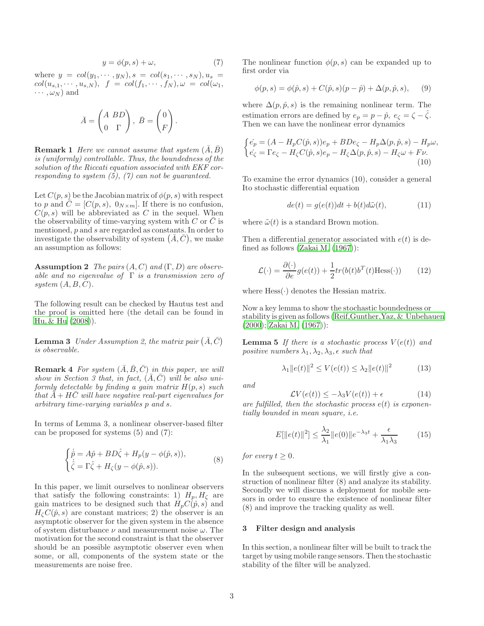$$
y = \phi(p, s) + \omega,\tag{7}
$$

where  $y = col(y_1, \dots, y_N), s = col(s_1, \dots, s_N), u_s =$  $col(u_{s,1},\cdots,u_{s,N}),$   $f = col(f_1,\cdots,f_N), \omega = col(\omega_1,$  $\cdots$ ,  $\omega_N$ ) and

$$
\bar{A} = \begin{pmatrix} A & BD \\ 0 & \Gamma \end{pmatrix}, \ \bar{B} = \begin{pmatrix} 0 \\ F \end{pmatrix}.
$$

**Remark 1** Here we cannot assume that system  $(A, B)$ is (uniformly) controllable. Thus, the boundedness of the solution of the Riccati equation associated with EKF corresponding to system  $(5)$ ,  $(7)$  can not be guaranteed.

Let  $C(p, s)$  be the Jacobian matrix of  $\phi(p, s)$  with respect to p and  $\bar{C} = [C(p, s), 0_{N \times m}]$ . If there is no confusion,  $C(p, s)$  will be abbreviated as C in the sequel. When the observability of time-varying system with C or  $\overline{C}$  is mentioned, p and s are regarded as constants. In order to investigate the observability of system  $(\bar{A}, \bar{C})$ , we make an assumption as follows:

**Assumption 2** The pairs  $(A, C)$  and  $(\Gamma, D)$  are observable and no eigenvalue of  $\Gamma$  is a transmission zero of system  $(A, B, C)$ .

The following result can be checked by Hautus test and the proof is omitted here (the detail can be found in Hu, [& Hu \(2008\)](#page-7-8)).

**Lemma 3** Under Assumption 2, the matrix pair  $(\bar{A}, \bar{C})$ is observable.

**Remark 4** For system  $(\bar{A}, \bar{B}, \bar{C})$  in this paper, we will show in Section 3 that, in fact,  $(\bar{A}, \bar{C})$  will be also uniformly detectable by finding a gain matrix  $H(p, s)$  such that  $\bar{A} + H\bar{C}$  will have negative real-part eigenvalues for arbitrary time-varying variables p and s.

In terms of Lemma 3, a nonlinear observer-based filter can be proposed for systems (5) and (7):

$$
\begin{cases}\n\dot{\hat{p}} = A\hat{p} + BD\hat{\zeta} + H_p(y - \phi(\hat{p}, s)), \\
\dot{\hat{\zeta}} = \Gamma\hat{\zeta} + H_\zeta(y - \phi(\hat{p}, s)).\n\end{cases} \tag{8}
$$

In this paper, we limit ourselves to nonlinear observers that satisfy the following constraints: 1)  $H_p, H_\zeta$  are gain matrices to be designed such that  $H_p(\hat{C}(\hat{p}, s))$  and  $H<sub>\zeta</sub>C(\hat{p}, s)$  are constant matrices; 2) the observer is an asymptotic observer for the given system in the absence of system disturbance  $\nu$  and measurement noise  $\omega$ . The motivation for the second constraint is that the observer should be an possible asymptotic observer even when some, or all, components of the system state or the measurements are noise free.

The nonlinear function  $\phi(p, s)$  can be expanded up to first order via

$$
\phi(p, s) = \phi(\hat{p}, s) + C(\hat{p}, s)(p - \hat{p}) + \Delta(p, \hat{p}, s), \quad (9)
$$

where  $\Delta(p, \hat{p}, s)$  is the remaining nonlinear term. The estimation errors are defined by  $e_p = p - \hat{p}$ ,  $e_{\zeta} = \zeta - \hat{\zeta}$ . Then we can have the nonlinear error dynamics

$$
\begin{cases} \n\dot{e}_p = (A - H_p C(\hat{p}, s)) e_p + B D e_\zeta - H_p \Delta(p, \hat{p}, s) - H_p \omega, \\
\dot{e}_\zeta = \Gamma e_\zeta - H_\zeta C(\hat{p}, s) e_p - H_\zeta \Delta(p, \hat{p}, s) - H_\zeta \omega + F \nu. \\
10)\n\end{cases}
$$

To examine the error dynamics (10), consider a general Ito stochastic differential equation

$$
de(t) = g(e(t))dt + b(t)d\tilde{\omega}(t),
$$
\n(11)

where  $\tilde{\omega}(t)$  is a standard Brown motion.

Then a differential generator associated with  $e(t)$  is defined as follows [\(Zakai M. \(1967\)](#page-7-9)):

$$
\mathcal{L}(\cdot) = \frac{\partial(\cdot)}{\partial e} g(e(t)) + \frac{1}{2} tr(b(t)b^{T}(t) \text{Hess}(\cdot))
$$
 (12)

where  $Hess(\cdot)$  denotes the Hessian matrix.

Now a key lemma to show the stochastic boundedness or stability is given as follows (Reif,Gunther,Yaz, [& Unbehauen](#page-7-3) [\(2000\)](#page-7-3); [Zakai M. \(1967](#page-7-9))):

**Lemma 5** If there is a stochastic process  $V(e(t))$  and positive numbers  $\lambda_1, \lambda_2, \lambda_3, \epsilon$  such that

$$
\lambda_1 \|e(t)\|^2 \le V(e(t)) \le \lambda_2 \|e(t)\|^2 \tag{13}
$$

and

$$
\mathcal{L}V(e(t)) \le -\lambda_3 V(e(t)) + \epsilon \tag{14}
$$

are fulfilled, then the stochastic process  $e(t)$  is exponentially bounded in mean square, i.e.

$$
E[\|e(t)\|^2] \le \frac{\lambda_2}{\lambda_1} \|e(0)\|e^{-\lambda_3 t} + \frac{\epsilon}{\lambda_1 \lambda_3} \tag{15}
$$

for every  $t \geq 0$ .

In the subsequent sections, we will firstly give a construction of nonlinear filter (8) and analyze its stability. Secondly we will discuss a deployment for mobile sensors in order to ensure the existence of nonlinear filter (8) and improve the tracking quality as well.

### 3 Filter design and analysis

In this section, a nonlinear filter will be built to track the target by using mobile range sensors. Then the stochastic stability of the filter will be analyzed.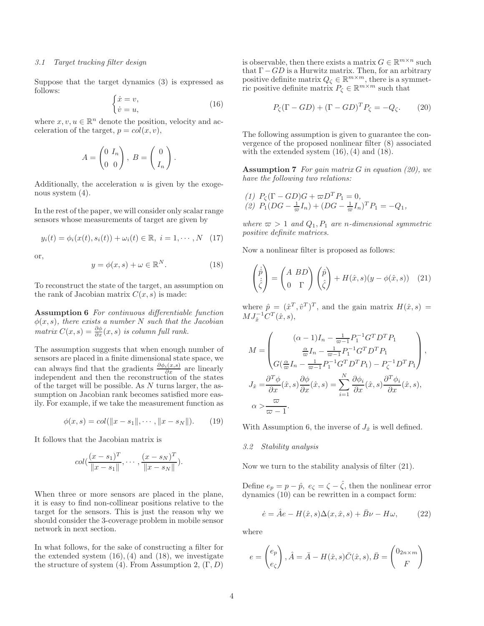#### 3.1 Target tracking filter design

Suppose that the target dynamics (3) is expressed as follows:

$$
\begin{cases} \dot{x} = v, \\ \dot{v} = u, \end{cases} \tag{16}
$$

where  $x, v, u \in \mathbb{R}^n$  denote the position, velocity and acceleration of the target,  $p = col(x, v)$ ,

$$
A = \begin{pmatrix} 0 & I_n \\ 0 & 0 \end{pmatrix}, B = \begin{pmatrix} 0 \\ I_n \end{pmatrix}.
$$

Additionally, the acceleration  $u$  is given by the exogenous system (4).

In the rest of the paper, we will consider only scalar range sensors whose measurements of target are given by

$$
y_i(t) = \phi_i(x(t), s_i(t)) + \omega_i(t) \in \mathbb{R}, \ i = 1, \cdots, N \quad (17)
$$

or,

$$
y = \phi(x, s) + \omega \in \mathbb{R}^N. \tag{18}
$$

To reconstruct the state of the target, an assumption on the rank of Jacobian matrix  $C(x, s)$  is made:

Assumption 6 For continuous differentiable function  $\phi(x, s)$ , there exists a number N such that the Jacobian matrix  $C(x, s) = \frac{\partial \phi}{\partial x}(x, s)$  is column full rank.

The assumption suggests that when enough number of sensors are placed in a finite dimensional state space, we can always find that the gradients  $\frac{\partial \phi_i(x,s)}{\partial x}$  are linearly independent and then the reconstruction of the states of the target will be possible. As N turns larger, the assumption on Jacobian rank becomes satisfied more easily. For example, if we take the measurement function as

$$
\phi(x, s) = col(||x - s_1||, \cdots, ||x - s_N||). \tag{19}
$$

It follows that the Jacobian matrix is

$$
col(\frac{(x - s_1)^T}{\|x - s_1\|}, \cdots, \frac{(x - s_N)^T}{\|x - s_N\|}).
$$

When three or more sensors are placed in the plane, it is easy to find non-collinear positions relative to the target for the sensors. This is just the reason why we should consider the 3-coverage problem in mobile sensor network in next section.

In what follows, for the sake of constructing a filter for the extended system  $(16)$ ,  $(4)$  and  $(18)$ , we investigate the structure of system (4). From Assumption 2,  $(\Gamma, D)$ 

is observable, then there exists a matrix  $G \in \mathbb{R}^{m \times n}$  such that  $\Gamma$  – GD is a Hurwitz matrix. Then, for an arbitrary positive definite matrix  $Q_{\zeta} \in \mathbb{R}^{m \times m}$ , there is a symmetric positive definite matrix  $P_{\zeta} \in \mathbb{R}^{m \times m}$  such that

$$
P_{\zeta}(\Gamma - GD) + (\Gamma - GD)^{T}P_{\zeta} = -Q_{\zeta}.
$$
 (20)

The following assumption is given to guarantee the convergence of the proposed nonlinear filter (8) associated with the extended system  $(16)$ ,  $(4)$  and  $(18)$ .

**Assumption 7** For gain matrix  $G$  in equation (20), we have the following two relations:

(1) 
$$
P_{\zeta}(\Gamma - GD)G + \varpi D^{T} P_{1} = 0,
$$
  
(2)  $P_{1}(DG - \frac{1}{\varpi}I_{n}) + (DG - \frac{1}{\varpi}I_{n})^{T} P_{1} = -Q_{1},$ 

where  $\varpi > 1$  and  $Q_1, P_1$  are n-dimensional symmetric positive definite matrices.

Now a nonlinear filter is proposed as follows:

$$
\begin{pmatrix} \dot{\hat{p}} \\ \dot{\hat{\zeta}} \end{pmatrix} = \begin{pmatrix} A & BD \\ 0 & \Gamma \end{pmatrix} \begin{pmatrix} \hat{p} \\ \hat{\zeta} \end{pmatrix} + H(\hat{x}, s)(y - \phi(\hat{x}, s)) \quad (21)
$$

where  $\hat{p} = (\hat{x}^T, \hat{v}^T)^T$ , and the gain matrix  $H(\hat{x}, s) =$  $MJ_{\hat{x}}^{-1}C^{T}(\hat{x},s),$ 

$$
M = \begin{pmatrix} (\alpha - 1)I_n - \frac{1}{\varpi - 1} P_1^{-1} G^T D^T P_1 \\ \frac{\alpha}{\varpi} I_n - \frac{1}{\varpi - 1} P_1^{-1} G^T D^T P_1 \\ G(\frac{\alpha}{\varpi} I_n - \frac{1}{\varpi - 1} P_1^{-1} G^T D^T P_1) - P_{\zeta}^{-1} D^T P_1 \end{pmatrix},
$$
  

$$
J_{\hat{x}} = \frac{\partial^T \phi}{\partial x} (\hat{x}, s) \frac{\partial \phi}{\partial x} (\hat{x}, s) = \sum_{i=1}^N \frac{\partial \phi_i}{\partial x} (\hat{x}, s) \frac{\partial^T \phi_i}{\partial x} (\hat{x}, s),
$$
  

$$
\alpha > \frac{\varpi}{\varpi - 1}.
$$

With Assumption 6, the inverse of  $J_{\hat{x}}$  is well defined.

## 3.2 Stability analysis

Now we turn to the stability analysis of filter (21).

Define  $e_p = p - \hat{p}$ ,  $e_{\zeta} = \zeta - \hat{\zeta}$ , then the nonlinear error dynamics (10) can be rewritten in a compact form:

$$
\dot{e} = \hat{A}e - H(\hat{x}, s)\Delta(x, \hat{x}, s) + \bar{B}\nu - H\omega, \qquad (22)
$$

where

$$
e = \begin{pmatrix} e_p \\ e_{\zeta} \end{pmatrix}, \hat{A} = \bar{A} - H(\hat{x}, s)\bar{C}(\hat{x}, s), \bar{B} = \begin{pmatrix} 0_{2n \times m} \\ F \end{pmatrix}
$$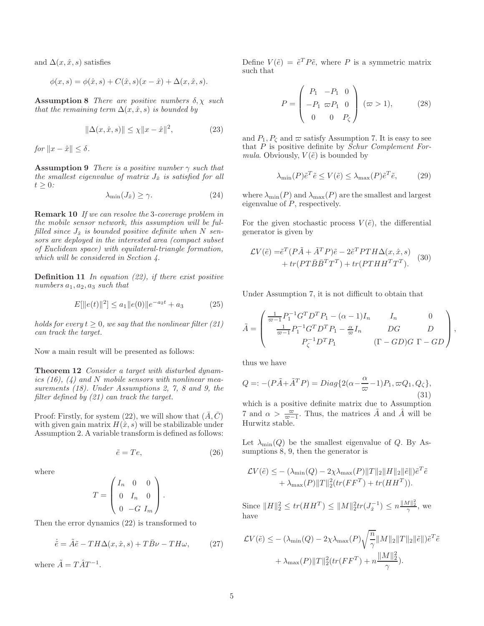and  $\Delta(x, \hat{x}, s)$  satisfies

$$
\phi(x, s) = \phi(\hat{x}, s) + C(\hat{x}, s)(x - \hat{x}) + \Delta(x, \hat{x}, s).
$$

**Assumption 8** There are positive numbers  $\delta$ ,  $\chi$  such that the remaining term  $\Delta(x, \hat{x}, s)$  is bounded by

$$
\|\Delta(x,\hat{x},s)\| \le \chi \|x - \hat{x}\|^2, \tag{23}
$$

for  $||x - \hat{x}|| < \delta$ .

**Assumption 9** There is a positive number  $\gamma$  such that the smallest eigenvalue of matrix  $J_{\hat{x}}$  is satisfied for all  $t \geq 0$ :

$$
\lambda_{\min}(J_{\hat{x}}) \ge \gamma. \tag{24}
$$

Remark 10 If we can resolve the 3-coverage problem in the mobile sensor network, this assumption will be fulfilled since  $J_{\hat{x}}$  is bounded positive definite when N sensors are deployed in the interested area (compact subset of Euclidean space) with equilateral-triangle formation, which will be considered in Section 4.

**Definition 11** In equation  $(22)$ , if there exist positive numbers  $a_1, a_2, a_3$  such that

$$
E[\|e(t)\|^2] \le a_1 \|e(0)\|e^{-a_2 t} + a_3 \tag{25}
$$

holds for every  $t \geq 0$ , we say that the nonlinear filter (21) can track the target.

Now a main result will be presented as follows:

**Theorem 12** Consider a target with disturbed dynamics  $(16)$ ,  $(4)$  and N mobile sensors with nonlinear measurements (18). Under Assumptions 2, 7, 8 and 9, the filter defined by (21) can track the target.

Proof: Firstly, for system (22), we will show that  $(\bar{A}, \bar{C})$ with given gain matrix  $H(\hat{x}, s)$  will be stabilizable under Assumption 2. A variable transform is defined as follows:

$$
\tilde{e} = Te,\tag{26}
$$

where

$$
T = \begin{pmatrix} I_n & 0 & 0 \\ 0 & I_n & 0 \\ 0 & -G & I_m \end{pmatrix}.
$$

Then the error dynamics (22) is transformed to

$$
\dot{\tilde{e}} = \tilde{A}\tilde{e} - TH\Delta(x, \hat{x}, s) + T\bar{B}\nu - TH\omega, \qquad (27)
$$

where  $\tilde{A} = T\hat{A}T^{-1}$ .

Define  $V(\tilde{e}) = \tilde{e}^T P \tilde{e}$ , where P is a symmetric matrix such that

$$
P = \begin{pmatrix} P_1 & -P_1 & 0 \\ -P_1 & \varpi P_1 & 0 \\ 0 & 0 & P_{\zeta} \end{pmatrix} (\varpi > 1), \qquad (28)
$$

and  $P_1, P_\zeta$  and  $\varpi$  satisfy Assumption 7. It is easy to see that P is positive definite by Schur Complement Formula. Obviously,  $V(\tilde{e})$  is bounded by

$$
\lambda_{\min}(P)\tilde{e}^T\tilde{e} \le V(\tilde{e}) \le \lambda_{\max}(P)\tilde{e}^T\tilde{e},\qquad(29)
$$

where  $\lambda_{\min}(P)$  and  $\lambda_{\max}(P)$  are the smallest and largest eigenvalue of  $P$ , respectively.

For the given stochastic process  $V(\tilde{e})$ , the differential generator is given by

$$
\mathcal{L}V(\tilde{e}) = \tilde{e}^T(P\tilde{A} + \tilde{A}^T P)\tilde{e} - 2\tilde{e}^T PTH\Delta(x, \hat{x}, s) + tr(PT\bar{B}\bar{B}^T T^T) + tr(PTHH^T T^T).
$$
 (30)

Under Assumption 7, it is not difficult to obtain that

$$
\tilde{A} = \begin{pmatrix}\n\frac{1}{\varpi - 1} P_1^{-1} G^T D^T P_1 - (\alpha - 1) I_n & I_n & 0 \\
\frac{1}{\varpi - 1} P_1^{-1} G^T D^T P_1 - \frac{\alpha}{\varpi} I_n & DG & D \\
P_{\zeta}^{-1} D^T P_1 & (\Gamma - GD) G \Gamma - GD\n\end{pmatrix},
$$

thus we have

$$
Q =: -(P\tilde{A} + \tilde{A}^T P) = Diag\{2(\alpha - \frac{\alpha}{\varpi} - 1)P_1, \varpi Q_1, Q_\zeta\},\tag{31}
$$

which is a positive definite matrix due to Assumption 7 and  $\alpha > \frac{\varpi}{\varpi - 1}$ . Thus, the matrices  $\tilde{A}$  and  $\hat{A}$  will be Hurwitz stable.

Let  $\lambda_{\min}(Q)$  be the smallest eigenvalue of Q. By Assumptions 8, 9, then the generator is

$$
\mathcal{L}V(\tilde{e}) \le -(\lambda_{\min}(Q) - 2\chi\lambda_{\max}(P) ||T||_2 ||H||_2 ||\tilde{e}||)\tilde{e}^T\tilde{e}
$$
  
+  $\lambda_{\max}(P) ||T||_2^2(tr(FF^T) + tr(HH^T)).$ 

Since  $||H||_2^2 \le tr(HH^T) \le ||M||_2^2 tr(J_{\hat{x}}^{-1}) \le n \frac{||M||_2^2}{\gamma},$  we have

$$
\mathcal{L}V(\tilde{e}) \le -(\lambda_{\min}(Q) - 2\chi\lambda_{\max}(P)\sqrt{\frac{n}{\gamma}}\|M\|_2\|T\|_2\|\tilde{e}\|)\tilde{e}^T\tilde{e}
$$

$$
+ \lambda_{\max}(P)\|T\|_2^2(tr(FF^T) + n\frac{\|M\|_2^2}{\gamma}).
$$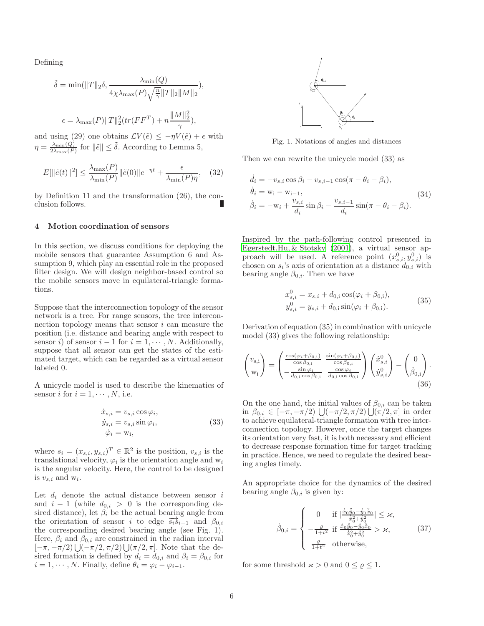Defining

$$
\tilde{\delta} = \min(||T||_2 \delta, \frac{\lambda_{\min}(Q)}{4\chi\lambda_{\max}(P)\sqrt{\frac{n}{\gamma}}||T||_2||M||_2}),
$$
  

$$
\epsilon = \lambda_{\max}(P)||T||_2^2(tr(FF^T) + n\frac{||M||_2^2}{\gamma}),
$$

and using (29) one obtains  $\mathcal{L}V(\tilde{e}) \leq -\eta V(\tilde{e}) + \epsilon$  with  $\eta = \frac{\lambda_{\min}(Q)}{2\lambda - (P)}$  $\frac{\lambda_{\min}(Q)}{2\lambda_{\max}(P)}$  for  $\|\tilde{e}\| \leq \tilde{\delta}$ . According to Lemma 5,

$$
E[\|\tilde{e}(t)\|^2] \le \frac{\lambda_{\max}(P)}{\lambda_{\min}(P)} \|\tilde{e}(0)\| e^{-\eta t} + \frac{\epsilon}{\lambda_{\min}(P)\eta}, \quad (32)
$$

by Definition 11 and the transformation (26), the conclusion follows.

## 4 Motion coordination of sensors

In this section, we discuss conditions for deploying the mobile sensors that guarantee Assumption 6 and Assumption 9, which play an essential role in the proposed filter design. We will design neighbor-based control so the mobile sensors move in equilateral-triangle formations.

Suppose that the interconnection topology of the sensor network is a tree. For range sensors, the tree interconnection topology means that sensor  $i$  can measure the position (i.e. distance and bearing angle with respect to sensor i) of sensor  $i - 1$  for  $i = 1, \dots, N$ . Additionally, suppose that all sensor can get the states of the estimated target, which can be regarded as a virtual sensor labeled 0.

A unicycle model is used to describe the kinematics of sensor i for  $i = 1, \dots, N$ , i.e.

$$
\begin{aligned}\n\dot{x}_{s,i} &= v_{s,i} \cos \varphi_i, \\
\dot{y}_{s,i} &= v_{s,i} \sin \varphi_i, \\
\dot{\varphi}_i &= \mathbf{w}_i,\n\end{aligned} \tag{33}
$$

where  $s_i = (x_{s,i}, y_{s,i})^T \in \mathbb{R}^2$  is the position,  $v_{s,i}$  is the translational velocity,  $\varphi_i$  is the orientation angle and  $w_i$ is the angular velocity. Here, the control to be designed is  $v_{s,i}$  and  $w_i$ .

Let  $d_i$  denote the actual distance between sensor  $i$ and  $i - 1$  (while  $d_{0,i} > 0$  is the corresponding desired distance), let  $\beta_i$  be the actual bearing angle from the orientation of sensor i to edge  $\overrightarrow{s_is}_{i-1}$  and  $\beta_{0,i}$ the corresponding desired bearing angle (see Fig. 1). Here,  $\beta_i$  and  $\beta_{0,i}$  are constrained in the radian interval  $[-\pi, -\pi/2] \bigcup (-\pi/2, \pi/2] \bigcup (\pi/2, \pi]$ . Note that the desired formation is defined by  $d_i = d_{0,i}$  and  $\beta_i = \beta_{0,i}$  for  $i = 1, \dots, N$ . Finally, define  $\theta_i = \varphi_i - \varphi_{i-1}$ .



Fig. 1. Notations of angles and distances

Then we can rewrite the unicycle model (33) as

$$
\dot{d}_i = -v_{s,i} \cos \beta_i - v_{s,i-1} \cos(\pi - \theta_i - \beta_i),
$$
  
\n
$$
\dot{\theta}_i = w_i - w_{i-1},
$$
  
\n
$$
\dot{\beta}_i = -w_i + \frac{v_{s,i}}{d_i} \sin \beta_i - \frac{v_{s,i-1}}{d_i} \sin(\pi - \theta_i - \beta_i).
$$
\n(34)

Inspired by the path-following control presented in Egerstedt,Hu, [& Stotsky \(2001\)](#page-7-7), a virtual sensor approach will be used. A reference point  $(x_{s,i}^0, y_{s,i}^0)$  is chosen on  $s_i$ 's axis of orientation at a distance  $d_{0,i}$  with bearing angle  $\beta_{0,i}$ . Then we have

$$
x_{s,i}^0 = x_{s,i} + d_{0,i} \cos(\varphi_i + \beta_{0,i}),
$$
  
\n
$$
y_{s,i}^0 = y_{s,i} + d_{0,i} \sin(\varphi_i + \beta_{0,i}).
$$
\n(35)

Derivation of equation (35) in combination with unicycle model (33) gives the following relationship:

$$
\begin{pmatrix} v_{\mathbf{s},\mathbf{i}} \\ w_{\mathbf{i}} \end{pmatrix} = \begin{pmatrix} \frac{\cos(\varphi_i + \beta_{0,\mathbf{i}})}{\cos \beta_{0,\mathbf{i}}} & \frac{\sin(\varphi_i + \beta_{0,\mathbf{i}})}{\cos \beta_{0,\mathbf{i}}} \\ -\frac{\sin \varphi_i}{d_{0,\mathbf{i}} \cos \beta_{0,\mathbf{i}}} & \frac{\cos \varphi_i}{d_{0,\mathbf{i}} \cos \beta_{0,\mathbf{i}}} \end{pmatrix} \begin{pmatrix} \dot{x}^0_{s,i} \\ \dot{y}^0_{s,i} \end{pmatrix} - \begin{pmatrix} 0 \\ \dot{\beta}_{0,\mathbf{i}} \end{pmatrix}.
$$
\n(36)

On the one hand, the initial values of  $\beta_{0,i}$  can be taken in β<sub>0,*i*</sub> ∈ [-π, -π/2)  $\bigcup$ (-π/2, π/2)  $\bigcup$ (π/2, π] in order to achieve equilateral-triangle formation with tree interconnection topology. However, once the target changes its orientation very fast, it is both necessary and efficient to decrease response formation time for target tracking in practice. Hence, we need to regulate the desired bearing angles timely.

An appropriate choice for the dynamics of the desired bearing angle  $\beta_{0,i}$  is given by:

$$
\dot{\beta}_{0,i} = \begin{cases}\n0 & \text{if } \left| \frac{\dot{\hat{x}}_0 \ddot{\hat{y}}_0 - \dot{\hat{y}}_0 \ddot{\hat{x}}_0}{\dot{\hat{x}}_0^2 + \dot{\hat{y}}_0^2} \right| \leq \varkappa, \\
-\frac{\varrho}{1 + t^2} & \text{if } \frac{\dot{\hat{x}}_0 \ddot{\hat{y}}_0 - \dot{\hat{y}}_0 \dot{\hat{x}}_0}{\dot{\hat{x}}_0^2 + \dot{\hat{y}}_0^2} > \varkappa, \\
\frac{\varrho}{1 + t^2} & \text{otherwise,} \n\end{cases}
$$
\n(37)

for some threshold  $\varkappa > 0$  and  $0 \le \varrho \le 1$ .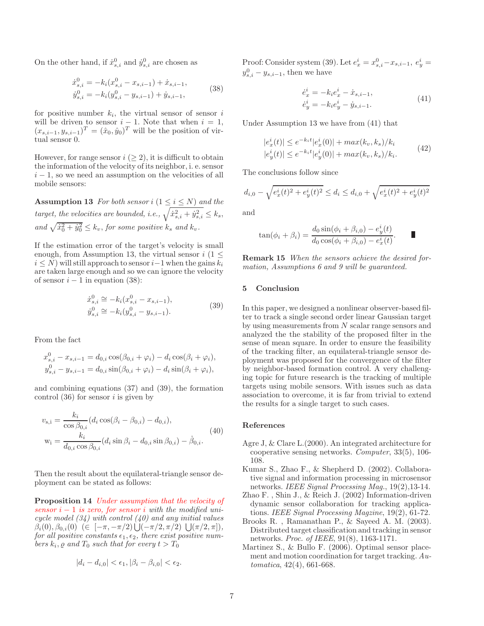On the other hand, if  $\dot{x}_{s,i}^0$  and  $\dot{y}_{s,i}^0$  are chosen as

$$
\begin{aligned} \dot{x}_{s,i}^{0} &= -k_i(x_{s,i}^0 - x_{s,i-1}) + \dot{x}_{s,i-1}, \\ \dot{y}_{s,i}^{0} &= -k_i(y_{s,i}^0 - y_{s,i-1}) + \dot{y}_{s,i-1}, \end{aligned} \tag{38}
$$

for positive number  $k_i$ , the virtual sensor of sensor i will be driven to sensor  $i - 1$ . Note that when  $i = 1$ ,  $(x_{s,i-1}, y_{s,i-1})^T = (\hat{x}_0, \hat{y}_0)^T$  will be the position of virtual sensor 0.

However, for range sensor  $i \geq 2$ , it is difficult to obtain the information of the velocity of its neighbor, i. e. sensor  $i - 1$ , so we need an assumption on the velocities of all mobile sensors:

**Assumption 13** For both sensor i  $(1 \le i \le N)$  and the target, the velocities are bounded, i.e.,  $\sqrt{\dot{x}_{s,i}^2 + \dot{y}_{s,i}^2} \le k_s$ , and  $\sqrt{\dot{x}_0^2 + \dot{y}_0^2} \le k_v$ , for some positive  $k_s$  and  $k_v$ .

If the estimation error of the target's velocity is small enough, from Assumption 13, the virtual sensor  $i$  (1  $\leq$  $i \le N$ ) will still approach to sensor  $i-1$  when the gains  $k_i$ are taken large enough and so we can ignore the velocity of sensor  $i - 1$  in equation (38):

$$
\dot{x}_{s,i}^{0} \cong -k_i(x_{s,i}^0 - x_{s,i-1}),
$$
  
\n
$$
\dot{y}_{s,i}^{0} \cong -k_i(y_{s,i}^0 - y_{s,i-1}).
$$
\n(39)

From the fact

$$
x_{s,i}^0 - x_{s,i-1} = d_{0,i} \cos(\beta_{0,i} + \varphi_i) - d_i \cos(\beta_i + \varphi_i),
$$
  
\n
$$
y_{s,i}^0 - y_{s,i-1} = d_{0,i} \sin(\beta_{0,i} + \varphi_i) - d_i \sin(\beta_i + \varphi_i),
$$

and combining equations (37) and (39), the formation control  $(36)$  for sensor *i* is given by

$$
v_{s,i} = \frac{k_i}{\cos \beta_{0,i}} (d_i \cos(\beta_i - \beta_{0,i}) - d_{0,i}),
$$
  
\n
$$
w_i = \frac{k_i}{d_{0,i} \cos \beta_{0,i}} (d_i \sin \beta_i - d_{0,i} \sin \beta_{0,i}) - \dot{\beta}_{0,i}.
$$
\n(40)

Then the result about the equilateral-triangle sensor deployment can be stated as follows:

Proposition 14 Under assumption that the velocity of sensor  $i - 1$  is zero, for sensor i with the modified unicycle model  $(34)$  with control  $(40)$  and any initial values  $\beta_i(0), \beta_{0,i}(0) \in [-\pi, -\pi/2) \bigcup (-\pi/2, \pi/2) \bigcup (\pi/2, \pi]),$ for all positive constants  $\epsilon_1, \epsilon_2$ , there exist positive numbers  $k_i$ ,  $\varrho$  and  $T_0$  such that for every  $t > T_0$ 

$$
|d_i - d_{i,0}| < \epsilon_1, |\beta_i - \beta_{i,0}| < \epsilon_2.
$$

Proof: Consider system (39). Let  $e_x^i = x_{s,i}^0 - x_{s,i-1}, e_y^i =$  $y_{s,i}^0 - y_{s,i-1}$ , then we have

$$
\dot{e}_x^i = -k_i e_x^i - \dot{x}_{s,i-1}, \n\dot{e}_y^i = -k_i e_y^i - \dot{y}_{s,i-1}.
$$
\n(41)

Under Assumption 13 we have from (41) that

$$
|e_x^i(t)| \le e^{-k_i t} |e_x^i(0)| + \max(k_v, k_s)/k_i
$$
  
\n
$$
|e_y^i(t)| \le e^{-k_i t} |e_y^i(0)| + \max(k_v, k_s)/k_i.
$$
\n(42)

The conclusions follow since

$$
d_{i,0} - \sqrt{e_x^i(t)^2 + e_y^i(t)^2} \le d_i \le d_{i,0} + \sqrt{e_x^i(t)^2 + e_y^i(t)^2}
$$

and

$$
\tan(\phi_i + \beta_i) = \frac{d_0 \sin(\phi_i + \beta_{i,0}) - e_y^i(t)}{d_0 \cos(\phi_i + \beta_{i,0}) - e_x^i(t)}.
$$

Remark 15 When the sensors achieve the desired formation, Assumptions 6 and 9 will be quaranteed.

## 5 Conclusion

In this paper, we designed a nonlinear observer-based filter to track a single second order linear Gaussian target by using measurements from N scalar range sensors and analyzed the the stability of the proposed filter in the sense of mean square. In order to ensure the feasibility of the tracking filter, an equilateral-triangle sensor deployment was proposed for the convergence of the filter by neighbor-based formation control. A very challenging topic for future research is the tracking of multiple targets using mobile sensors. With issues such as data association to overcome, it is far from trivial to extend the results for a single target to such cases.

## References

- <span id="page-6-0"></span>Agre J, & Clare L.(2000). An integrated architecture for cooperative sensing networks. Computer, 33(5), 106- 108.
- <span id="page-6-1"></span>Kumar S., Zhao F., & Shepherd D. (2002). Collaborative signal and information processing in microsensor networks. IEEE Signal Processing Mag., 19(2),13-14.
- <span id="page-6-2"></span>Zhao F. , Shin J., & Reich J. (2002) Information-driven dynamic sensor collaboration for tracking applications. IEEE Signal Processing Magzine, 19(2), 61-72.
- <span id="page-6-3"></span>Brooks R. , Ramanathan P., & Sayeed A. M. (2003). Distributed target classification and tracking in sensor networks. Proc. of IEEE, 91(8), 1163-1171.
- <span id="page-6-4"></span>Martinez S., & Bullo F. (2006). Optimal sensor placement and motion coordination for target tracking. Automatica, 42(4), 661-668.